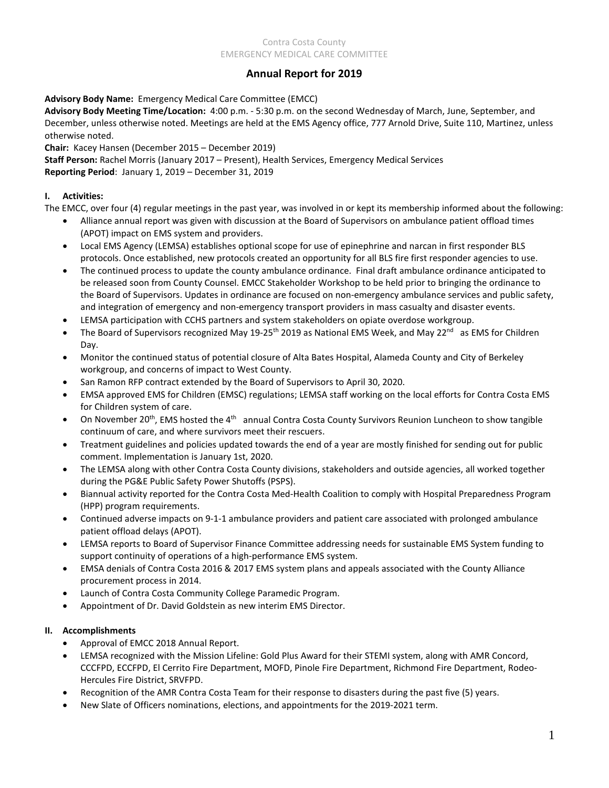# **Annual Report for 2019**

## **Advisory Body Name:** Emergency Medical Care Committee (EMCC)

**Advisory Body Meeting Time/Location:** 4:00 p.m. - 5:30 p.m. on the second Wednesday of March, June, September, and December, unless otherwise noted. Meetings are held at the EMS Agency office, 777 Arnold Drive, Suite 110, Martinez, unless otherwise noted.

**Chair:** Kacey Hansen (December 2015 – December 2019)

**Staff Person:** Rachel Morris (January 2017 – Present), Health Services, Emergency Medical Services **Reporting Period**: January 1, 2019 – December 31, 2019

## **I. Activities:**

The EMCC, over four (4) regular meetings in the past year, was involved in or kept its membership informed about the following:

- Alliance annual report was given with discussion at the Board of Supervisors on ambulance patient offload times (APOT) impact on EMS system and providers.
- Local EMS Agency (LEMSA) establishes optional scope for use of epinephrine and narcan in first responder BLS protocols. Once established, new protocols created an opportunity for all BLS fire first responder agencies to use.
- The continued process to update the county ambulance ordinance. Final draft ambulance ordinance anticipated to be released soon from County Counsel. EMCC Stakeholder Workshop to be held prior to bringing the ordinance to the Board of Supervisors. Updates in ordinance are focused on non-emergency ambulance services and public safety, and integration of emergency and non-emergency transport providers in mass casualty and disaster events.
- LEMSA participation with CCHS partners and system stakeholders on opiate overdose workgroup.
- The Board of Supervisors recognized May 19-25<sup>th</sup> 2019 as National EMS Week, and May 22<sup>nd</sup> as EMS for Children Day.
- Monitor the continued status of potential closure of Alta Bates Hospital, Alameda County and City of Berkeley workgroup, and concerns of impact to West County.
- San Ramon RFP contract extended by the Board of Supervisors to April 30, 2020.
- EMSA approved EMS for Children (EMSC) regulations; LEMSA staff working on the local efforts for Contra Costa EMS for Children system of care.
- On November 20<sup>th</sup>, EMS hosted the 4<sup>th</sup> annual Contra Costa County Survivors Reunion Luncheon to show tangible continuum of care, and where survivors meet their rescuers.
- Treatment guidelines and policies updated towards the end of a year are mostly finished for sending out for public comment. Implementation is January 1st, 2020.
- The LEMSA along with other Contra Costa County divisions, stakeholders and outside agencies, all worked together during the PG&E Public Safety Power Shutoffs (PSPS).
- Biannual activity reported for the Contra Costa Med-Health Coalition to comply with Hospital Preparedness Program (HPP) program requirements.
- Continued adverse impacts on 9-1-1 ambulance providers and patient care associated with prolonged ambulance patient offload delays (APOT).
- LEMSA reports to Board of Supervisor Finance Committee addressing needs for sustainable EMS System funding to support continuity of operations of a high-performance EMS system.
- EMSA denials of Contra Costa 2016 & 2017 EMS system plans and appeals associated with the County Alliance procurement process in 2014.
- Launch of Contra Costa Community College Paramedic Program.
- Appointment of Dr. David Goldstein as new interim EMS Director.

# **II. Accomplishments**

- Approval of EMCC 2018 Annual Report.
- LEMSA recognized with the Mission Lifeline: Gold Plus Award for their STEMI system, along with AMR Concord, CCCFPD, ECCFPD, El Cerrito Fire Department, MOFD, Pinole Fire Department, Richmond Fire Department, Rodeo-Hercules Fire District, SRVFPD.
- Recognition of the AMR Contra Costa Team for their response to disasters during the past five (5) years.
- New Slate of Officers nominations, elections, and appointments for the 2019-2021 term.